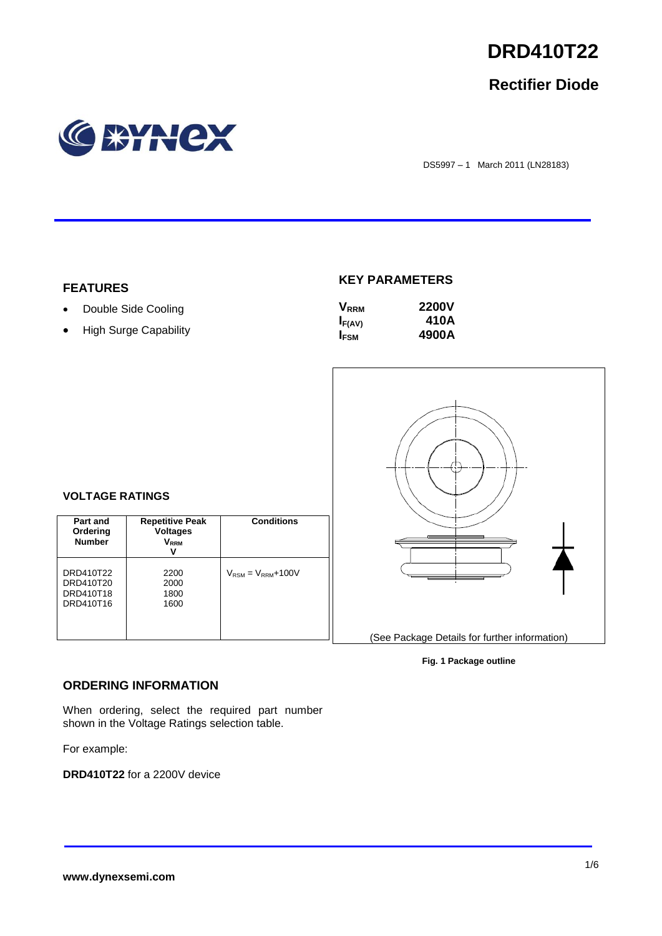

# **Rectifier Diode**



DS5997 – 1 March 2011 (LN28183)

### **FEATURES**

# • Double Side Cooling

• High Surge Capability

## **KEY PARAMETERS**

| <b>V</b> <sub>RRM</sub> | <b>2200V</b> |
|-------------------------|--------------|
| $I_{F(AV)}$             | 410A         |
| <b>IFSM</b>             | 4900A        |



# **VOLTAGE RATINGS**

| Part and<br>Ordering<br><b>Number</b>            | <b>Repetitive Peak</b><br><b>Voltages</b><br>$\mathsf{V}_\mathsf{RRM}$<br>V | <b>Conditions</b>                        |
|--------------------------------------------------|-----------------------------------------------------------------------------|------------------------------------------|
| DRD410T22<br>DRD410T20<br>DRD410T18<br>DRD410T16 | 2200<br>2000<br>1800<br>1600                                                | $V_{\text{RSM}} = V_{\text{RRM}} + 100V$ |

#### **Fig. 1 Package outline**

### **ORDERING INFORMATION**

When ordering, select the required part number shown in the Voltage Ratings selection table.

For example:

**DRD410T22** for a 2200V device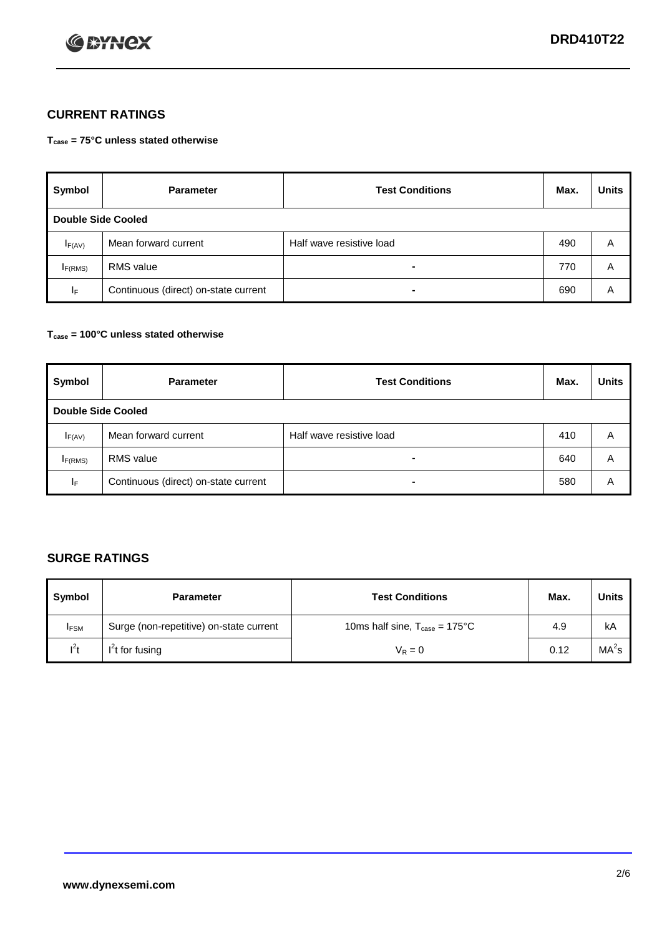

# **CURRENT RATINGS**

**Tcase = 75°C unless stated otherwise**

| Symbol                    | <b>Parameter</b>                     | <b>Test Conditions</b>   | Max. | <b>Units</b> |
|---------------------------|--------------------------------------|--------------------------|------|--------------|
| <b>Double Side Cooled</b> |                                      |                          |      |              |
| $I_{F(AV)}$               | Mean forward current                 | Half wave resistive load | 490  | A            |
| I <sub>F(RMS)</sub>       | <b>RMS</b> value                     | -                        | 770  | A            |
| IF.                       | Continuous (direct) on-state current | -                        | 690  | Α            |

### **Tcase = 100°C unless stated otherwise**

| Symbol                    | <b>Parameter</b>                     | <b>Test Conditions</b>   | Max. | <b>Units</b> |
|---------------------------|--------------------------------------|--------------------------|------|--------------|
| <b>Double Side Cooled</b> |                                      |                          |      |              |
| $I_{F(AV)}$               | Mean forward current                 | Half wave resistive load | 410  | A            |
| I <sub>F(RMS)</sub>       | <b>RMS</b> value                     |                          | 640  | A            |
| ΙF                        | Continuous (direct) on-state current |                          | 580  | A            |

# **SURGE RATINGS**

| Symbol      | <b>Parameter</b>                        | <b>Test Conditions</b>                            | Max. | <b>Units</b>      |
|-------------|-----------------------------------------|---------------------------------------------------|------|-------------------|
| <b>IFSM</b> | Surge (non-repetitive) on-state current | 10ms half sine, $T_{\text{case}} = 175^{\circ}$ C | 4.9  | kA                |
| $l^2t$      | I <sup>'</sup> t for fusing             | $V_R = 0$                                         | 0.12 | MA <sup>2</sup> s |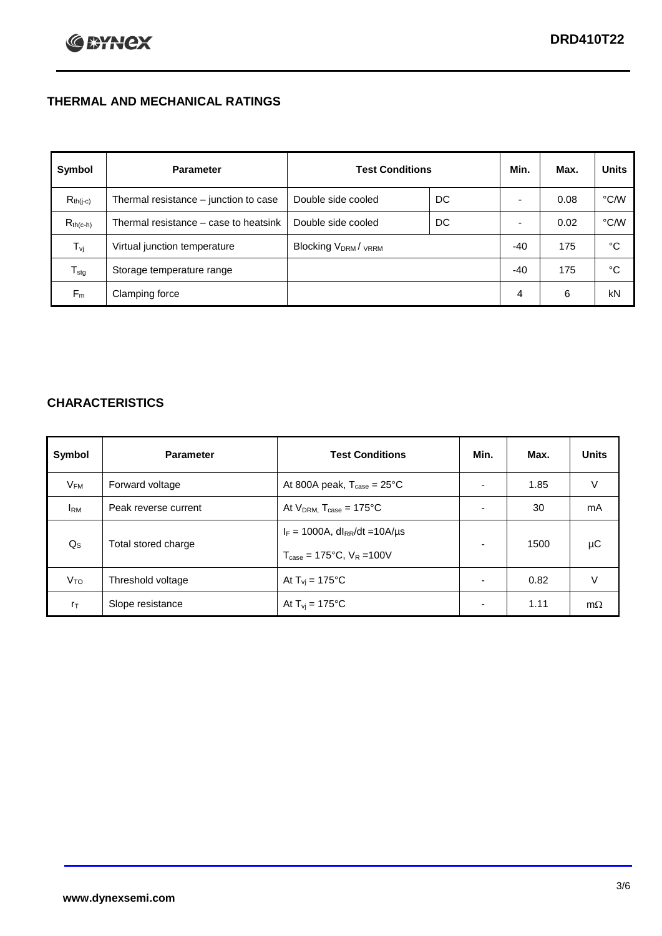# **THERMAL AND MECHANICAL RATINGS**

| Symbol           | <b>Parameter</b>                      | <b>Test Conditions</b>                      |    | Min.  | Max. | <b>Units</b> |
|------------------|---------------------------------------|---------------------------------------------|----|-------|------|--------------|
| $R_{th(j-c)}$    | Thermal resistance – junction to case | Double side cooled                          | DC |       | 0.08 | °C/W         |
| $R_{th(c-h)}$    | Thermal resistance – case to heatsink | Double side cooled                          | DC |       | 0.02 | °C/W         |
| $T_{\rm vj}$     | Virtual junction temperature          | Blocking V <sub>DRM</sub> / <sub>VRRM</sub> |    | $-40$ | 175  | °C           |
| $T_{\text{stg}}$ | Storage temperature range             |                                             |    | $-40$ | 175  | °C           |
| $F_m$            | Clamping force                        |                                             |    | 4     | 6    | kN           |

# **CHARACTERISTICS**

| Symbol                   | <b>Parameter</b>     | <b>Test Conditions</b>                                                                           | Min.                     | Max. | <b>Units</b> |
|--------------------------|----------------------|--------------------------------------------------------------------------------------------------|--------------------------|------|--------------|
| $\mathsf{V}_\mathsf{FM}$ | Forward voltage      | At 800A peak, $T_{\text{case}} = 25^{\circ}\text{C}$                                             | $\overline{\phantom{0}}$ | 1.85 | V            |
| <b>IRM</b>               | Peak reverse current | At $V_{DRM}$ , $T_{case} = 175^{\circ}C$                                                         | $\overline{\phantom{0}}$ | 30   | mA           |
| $Q_{\rm S}$              | Total stored charge  | $I_F = 1000A$ , dl <sub>RR</sub> /dt = 10A/us<br>$T_{\text{case}} = 175^{\circ}$ C. $V_R = 100V$ | $\overline{\phantom{0}}$ | 1500 | μC           |
| V <sub>TO</sub>          | Threshold voltage    | At $T_{vi}$ = 175°C                                                                              | $\overline{\phantom{0}}$ | 0.82 | V            |
| $r_{\text{T}}$           | Slope resistance     | At $T_{vi}$ = 175°C                                                                              | ۰                        | 1.11 | $m\Omega$    |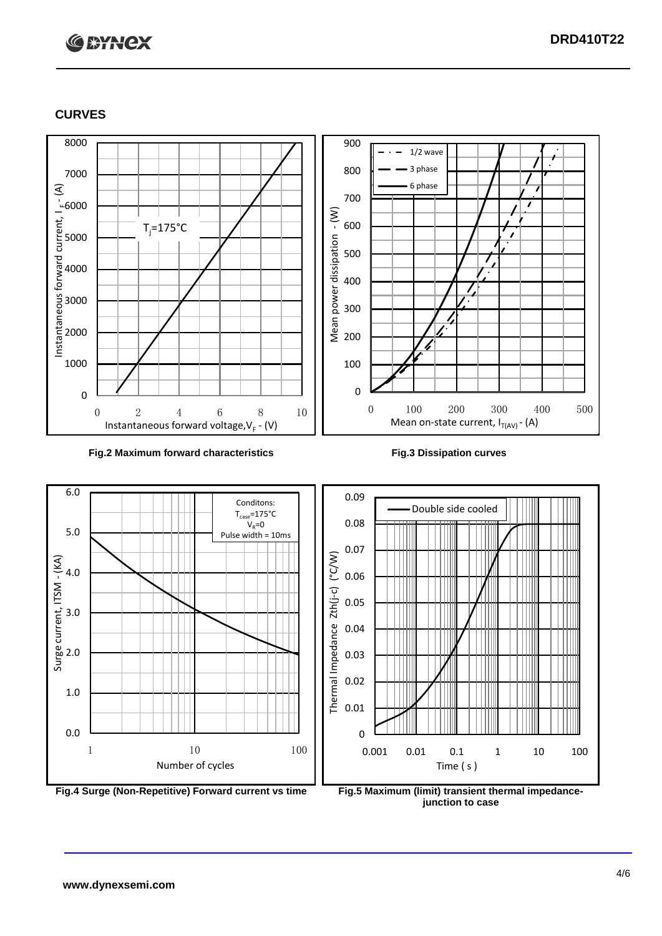# **C BYNCX**

## **CURVES**





**junction to case**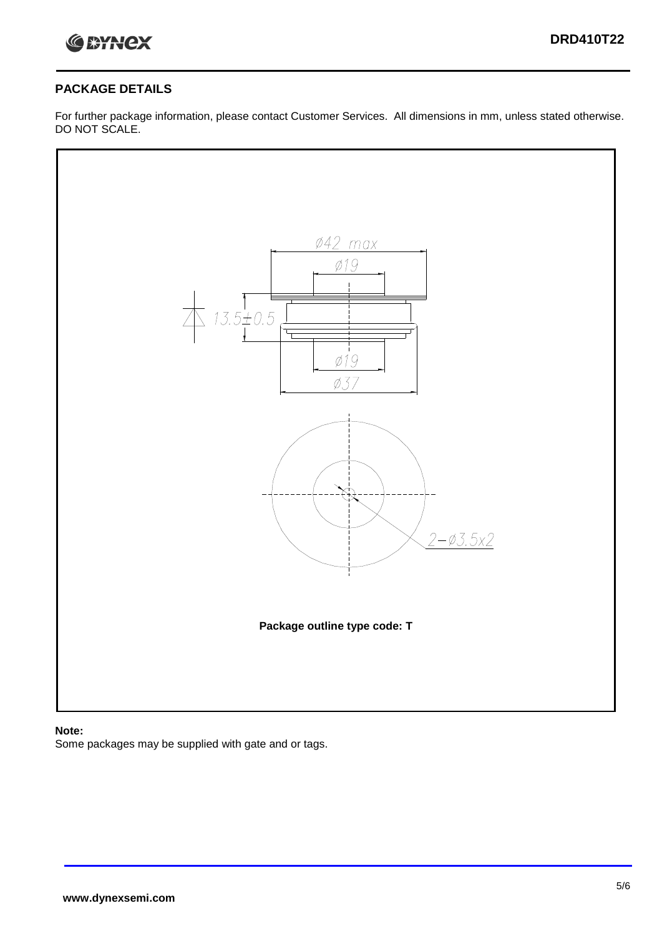

## **PACKAGE DETAILS**

For further package information, please contact Customer Services. All dimensions in mm, unless stated otherwise. DO NOT SCALE.



### **Note:**

Some packages may be supplied with gate and or tags.